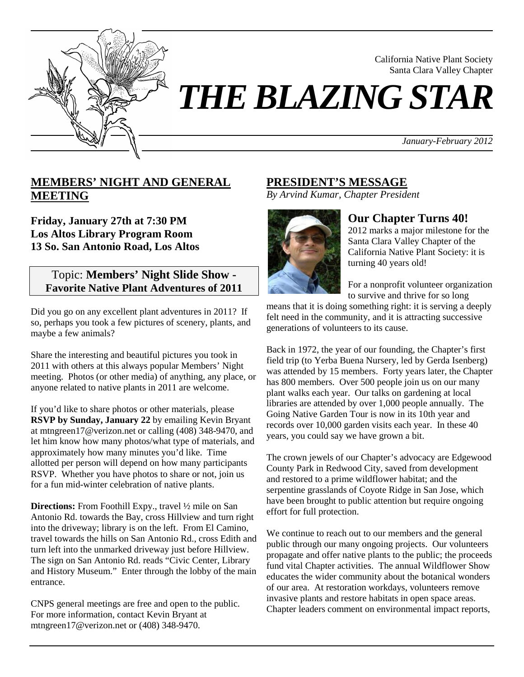

Santa Clara Valley Chapter *THE BLAZING STAR* 

*January-February 2012*

California Native Plant Society

## **MEMBERS' NIGHT AND GENERAL MEETING**

**Friday, January 27th at 7:30 PM Los Altos Library Program Room 13 So. San Antonio Road, Los Altos**

## Topic: **Members' Night Slide Show - Favorite Native Plant Adventures of 2011**

Did you go on any excellent plant adventures in 2011? If so, perhaps you took a few pictures of scenery, plants, and maybe a few animals?

Share the interesting and beautiful pictures you took in 2011 with others at this always popular Members' Night meeting. Photos (or other media) of anything, any place, or anyone related to native plants in 2011 are welcome.

If you'd like to share photos or other materials, please **RSVP by Sunday, January 22** by emailing Kevin Bryant at mtngreen17@verizon.net or calling (408) 348-9470, and let him know how many photos/what type of materials, and approximately how many minutes you'd like. Time allotted per person will depend on how many participants RSVP. Whether you have photos to share or not, join us for a fun mid-winter celebration of native plants.

**Directions:** From Foothill Expy., travel ½ mile on San Antonio Rd. towards the Bay, cross Hillview and turn right into the driveway; library is on the left. From El Camino, travel towards the hills on San Antonio Rd., cross Edith and turn left into the unmarked driveway just before Hillview. The sign on San Antonio Rd. reads "Civic Center, Library and History Museum." Enter through the lobby of the main entrance.

CNPS general meetings are free and open to the public. For more information, contact Kevin Bryant at mtngreen17@verizon.net or (408) 348-9470.

# **PRESIDENT'S MESSAGE**

*By Arvind Kumar, Chapter President*



## **Our Chapter Turns 40!**

2012 marks a major milestone for the Santa Clara Valley Chapter of the California Native Plant Society: it is turning 40 years old!

For a nonprofit volunteer organization to survive and thrive for so long

means that it is doing something right: it is serving a deeply felt need in the community, and it is attracting successive generations of volunteers to its cause.

Back in 1972, the year of our founding, the Chapter's first field trip (to Yerba Buena Nursery, led by Gerda Isenberg) was attended by 15 members. Forty years later, the Chapter has 800 members. Over 500 people join us on our many plant walks each year. Our talks on gardening at local libraries are attended by over 1,000 people annually. The Going Native Garden Tour is now in its 10th year and records over 10,000 garden visits each year. In these 40 years, you could say we have grown a bit.

The crown jewels of our Chapter's advocacy are Edgewood County Park in Redwood City, saved from development and restored to a prime wildflower habitat; and the serpentine grasslands of Coyote Ridge in San Jose, which have been brought to public attention but require ongoing effort for full protection.

We continue to reach out to our members and the general public through our many ongoing projects. Our volunteers propagate and offer native plants to the public; the proceeds fund vital Chapter activities. The annual Wildflower Show educates the wider community about the botanical wonders of our area. At restoration workdays, volunteers remove invasive plants and restore habitats in open space areas. Chapter leaders comment on environmental impact reports,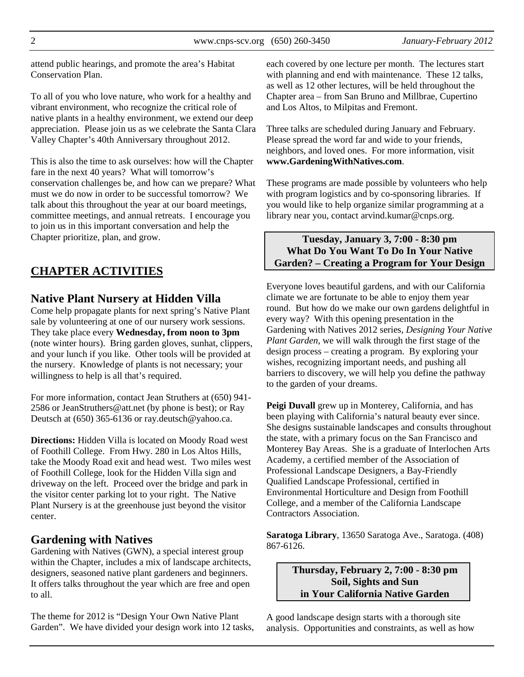attend public hearings, and promote the area's Habitat Conservation Plan.

To all of you who love nature, who work for a healthy and vibrant environment, who recognize the critical role of native plants in a healthy environment, we extend our deep appreciation. Please join us as we celebrate the Santa Clara Valley Chapter's 40th Anniversary throughout 2012.

This is also the time to ask ourselves: how will the Chapter fare in the next 40 years? What will tomorrow's conservation challenges be, and how can we prepare? What must we do now in order to be successful tomorrow? We talk about this throughout the year at our board meetings, committee meetings, and annual retreats. I encourage you to join us in this important conversation and help the Chapter prioritize, plan, and grow.

# **CHAPTER ACTIVITIES**

## **Native Plant Nursery at Hidden Villa**

Come help propagate plants for next spring's Native Plant sale by volunteering at one of our nursery work sessions. They take place every **Wednesday, from noon to 3pm** (note winter hours). Bring garden gloves, sunhat, clippers, and your lunch if you like. Other tools will be provided at the nursery. Knowledge of plants is not necessary; your willingness to help is all that's required.

For more information, contact Jean Struthers at (650) 941- 2586 or JeanStruthers@att.net (by phone is best); or Ray Deutsch at (650) 365-6136 or ray.deutsch@yahoo.ca.

**Directions:** Hidden Villa is located on Moody Road west of Foothill College. From Hwy. 280 in Los Altos Hills, take the Moody Road exit and head west. Two miles west of Foothill College, look for the Hidden Villa sign and driveway on the left. Proceed over the bridge and park in the visitor center parking lot to your right. The Native Plant Nursery is at the greenhouse just beyond the visitor center.

## **Gardening with Natives**

Gardening with Natives (GWN), a special interest group within the Chapter, includes a mix of landscape architects, designers, seasoned native plant gardeners and beginners. It offers talks throughout the year which are free and open to all.

The theme for 2012 is "Design Your Own Native Plant Garden". We have divided your design work into 12 tasks, each covered by one lecture per month. The lectures start with planning and end with maintenance. These 12 talks, as well as 12 other lectures, will be held throughout the Chapter area – from San Bruno and Millbrae, Cupertino and Los Altos, to Milpitas and Fremont.

Three talks are scheduled during January and February. Please spread the word far and wide to your friends, neighbors, and loved ones. For more information, visit **www.GardeningWithNatives.com**.

These programs are made possible by volunteers who help with program logistics and by co-sponsoring libraries. If you would like to help organize similar programming at a library near you, contact arvind.kumar@cnps.org.

#### **Tuesday, January 3, 7:00 - 8:30 pm What Do You Want To Do In Your Native Garden? – Creating a Program for Your Design**

Everyone loves beautiful gardens, and with our California climate we are fortunate to be able to enjoy them year round. But how do we make our own gardens delightful in every way? With this opening presentation in the Gardening with Natives 2012 series, *Designing Your Native Plant Garden*, we will walk through the first stage of the design process – creating a program. By exploring your wishes, recognizing important needs, and pushing all barriers to discovery, we will help you define the pathway to the garden of your dreams.

**Peigi Duvall** grew up in Monterey, California, and has been playing with California's natural beauty ever since. She designs sustainable landscapes and consults throughout the state, with a primary focus on the San Francisco and Monterey Bay Areas. She is a graduate of Interlochen Arts Academy, a certified member of the Association of Professional Landscape Designers, a Bay-Friendly Qualified Landscape Professional, certified in Environmental Horticulture and Design from Foothill College, and a member of the California Landscape Contractors Association.

**Saratoga Library**, 13650 Saratoga Ave., Saratoga. (408) 867-6126.

#### **Thursday, February 2, 7:00 - 8:30 pm Soil, Sights and Sun in Your California Native Garden**

A good landscape design starts with a thorough site analysis. Opportunities and constraints, as well as how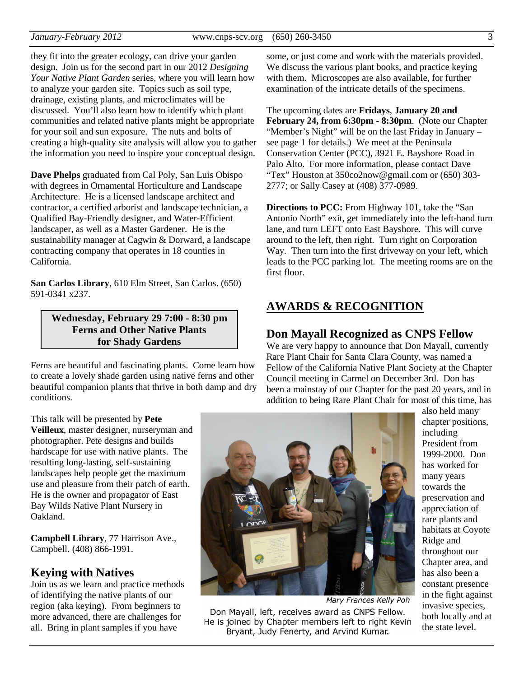they fit into the greater ecology, can drive your garden design. Join us for the second part in our 2012 *Designing Your Native Plant Garden* series, where you will learn how to analyze your garden site. Topics such as soil type, drainage, existing plants, and microclimates will be discussed. You'll also learn how to identify which plant communities and related native plants might be appropriate for your soil and sun exposure. The nuts and bolts of creating a high-quality site analysis will allow you to gather the information you need to inspire your conceptual design.

**Dave Phelps** graduated from Cal Poly, San Luis Obispo with degrees in Ornamental Horticulture and Landscape Architecture. He is a licensed landscape architect and contractor, a certified arborist and landscape technician, a Qualified Bay-Friendly designer, and Water-Efficient landscaper, as well as a Master Gardener. He is the sustainability manager at Cagwin & Dorward, a landscape contracting company that operates in 18 counties in California.

**San Carlos Library**, 610 Elm Street, San Carlos. (650) 591-0341 x237.

#### **Wednesday, February 29 7:00 - 8:30 pm Ferns and Other Native Plants for Shady Gardens**

Ferns are beautiful and fascinating plants. Come learn how to create a lovely shade garden using native ferns and other beautiful companion plants that thrive in both damp and dry conditions.

This talk will be presented by **Pete Veilleux**, master designer, nurseryman and photographer. Pete designs and builds hardscape for use with native plants. The resulting long-lasting, self-sustaining landscapes help people get the maximum use and pleasure from their patch of earth. He is the owner and propagator of East Bay Wilds Native Plant Nursery in Oakland.

**Campbell Library**, 77 Harrison Ave., Campbell. (408) 866-1991.

#### **Keying with Natives**

Join us as we learn and practice methods of identifying the native plants of our region (aka keying). From beginners to more advanced, there are challenges for all. Bring in plant samples if you have

some, or just come and work with the materials provided. We discuss the various plant books, and practice keying with them. Microscopes are also available, for further examination of the intricate details of the specimens.

The upcoming dates are **Fridays**, **January 20 and February 24, from 6:30pm - 8:30pm**. (Note our Chapter "Member's Night" will be on the last Friday in January – see page 1 for details.) We meet at the Peninsula Conservation Center (PCC), 3921 E. Bayshore Road in Palo Alto. For more information, please contact Dave "Tex" Houston at 350co2now@gmail.com or (650) 303- 2777; or Sally Casey at (408) 377-0989.

**Directions to PCC:** From Highway 101, take the "San Antonio North" exit, get immediately into the left-hand turn lane, and turn LEFT onto East Bayshore. This will curve around to the left, then right. Turn right on Corporation Way. Then turn into the first driveway on your left, which leads to the PCC parking lot. The meeting rooms are on the first floor.

#### **AWARDS & RECOGNITION**

#### **Don Mayall Recognized as CNPS Fellow**

We are very happy to announce that Don Mayall, currently Rare Plant Chair for Santa Clara County, was named a Fellow of the California Native Plant Society at the Chapter Council meeting in Carmel on December 3rd. Don has been a mainstay of our Chapter for the past 20 years, and in addition to being Rare Plant Chair for most of this time, has



Mary Frances Kelly Poh

Don Mayall, left, receives award as CNPS Fellow. He is joined by Chapter members left to right Kevin Bryant, Judy Fenerty, and Arvind Kumar.

also held many chapter positions, including President from 1999-2000. Don has worked for many years towards the preservation and appreciation of rare plants and habitats at Coyote Ridge and throughout our Chapter area, and has also been a constant presence in the fight against invasive species, both locally and at the state level.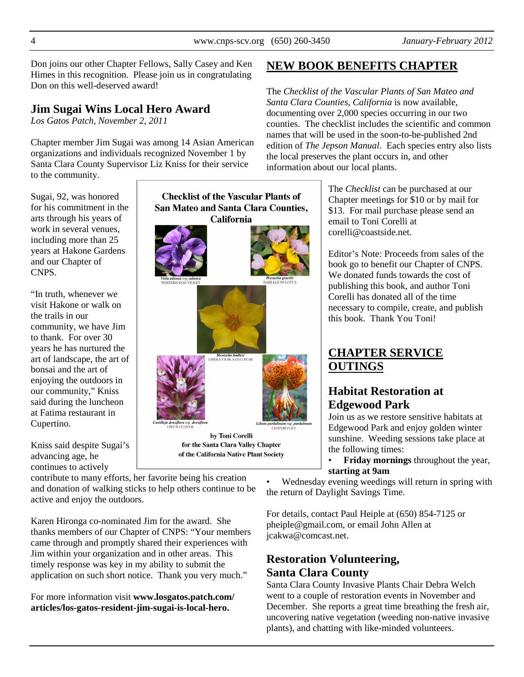Don joins our other Chapter Fellows, Sally Casey and Ken Himes in this recognition. Please join us in congratulating Don on this well-deserved award!

# **Jim Sugai Wins Local Hero Award**

*Los Gatos Patch, November 2, 2011* 

Chapter member Jim Sugai was among 14 Asian American organizations and individuals recognized November 1 by Santa Clara County Supervisor Liz Kniss for their service to the community.

Sugai, 92, was honored for his commitment in the arts through his years of work in several venues, including more than 25 years at Hakone Gardens and our Chapter of CNPS.

"In truth, whenever we visit Hakone or walk on the trails in our community, we have Jim to thank. For over 30 years he has nurtured the art of landscape, the art of bonsai and the art of enjoying the outdoors in our community," Kniss said during the luncheon at Fatima restaurant in Cupertino.

Kniss said despite Sugai's advancing age, he continues to actively



of the California Native Plant Society

contribute to many efforts, her favorite being his creation and donation of walking sticks to help others continue to be active and enjoy the outdoors.

Karen Hironga co-nominated Jim for the award. She thanks members of our Chapter of CNPS: "Your members came through and promptly shared their experiences with Jim within your organization and in other areas. This timely response was key in my ability to submit the application on such short notice. Thank you very much."

For more information visit **www.losgatos.patch.com/ articles/los-gatos-resident-jim-sugai-is-local-hero.**

# **NEW BOOK BENEFITS CHAPTER**

The *Checklist of the Vascular Plants of San Mateo and Santa Clara Counties, California* is now available, documenting over 2,000 species occurring in our two counties. The checklist includes the scientific and common names that will be used in the soon-to-be-published 2nd edition of *The Jepson Manual*. Each species entry also lists the local preserves the plant occurs in, and other information about our local plants.

> The *Checklist* can be purchased at our Chapter meetings for \$10 or by mail for \$13. For mail purchase please send an email to Toni Corelli at corelli@coastside.net.

Editor's Note: Proceeds from sales of the book go to benefit our Chapter of CNPS. We donated funds towards the cost of publishing this book, and author Toni Corelli has donated all of the time necessary to compile, create, and publish this book. Thank You Toni!

# **CHAPTER SERVICE OUTINGS**

# **Habitat Restoration at Edgewood Park**

Join us as we restore sensitive habitats at Edgewood Park and enjoy golden winter sunshine. Weeding sessions take place at the following times:

• **Friday mornings** throughout the year, **starting at 9am**

• Wednesday evening weedings will return in spring with the return of Daylight Savings Time.

For details, contact Paul Heiple at (650) 854-7125 or pheiple@gmail.com, or email John Allen at jcakwa@comcast.net.

# **Restoration Volunteering, Santa Clara County**

Santa Clara County Invasive Plants Chair Debra Welch went to a couple of restoration events in November and December. She reports a great time breathing the fresh air, uncovering native vegetation (weeding non-native invasive plants), and chatting with like-minded volunteers.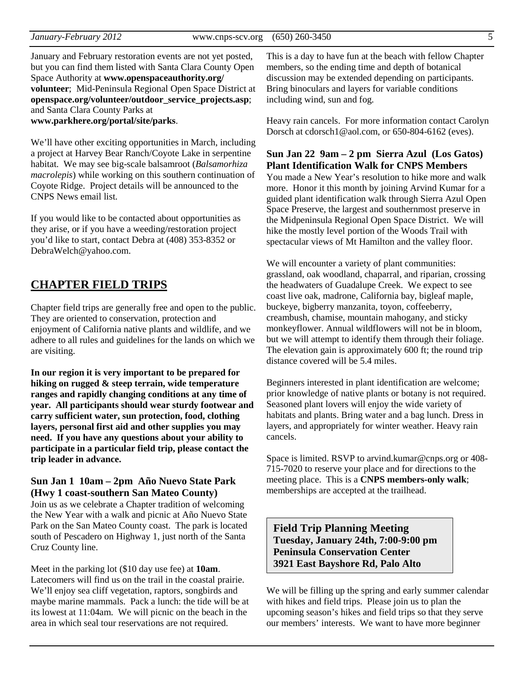January and February restoration events are not yet posted, but you can find them listed with Santa Clara County Open Space Authority at **www.openspaceauthority.org/ volunteer**; Mid-Peninsula Regional Open Space District at **openspace.org/volunteer/outdoor\_service\_projects.asp**; and Santa Clara County Parks at **www.parkhere.org/portal/site/parks**.

We'll have other exciting opportunities in March, including a project at Harvey Bear Ranch/Coyote Lake in serpentine habitat. We may see big-scale balsamroot (*Balsamorhiza macrolepis*) while working on this southern continuation of Coyote Ridge. Project details will be announced to the CNPS News email list.

If you would like to be contacted about opportunities as they arise, or if you have a weeding/restoration project you'd like to start, contact Debra at (408) 353-8352 or DebraWelch@yahoo.com.

## **CHAPTER FIELD TRIPS**

Chapter field trips are generally free and open to the public. They are oriented to conservation, protection and enjoyment of California native plants and wildlife, and we adhere to all rules and guidelines for the lands on which we are visiting.

**In our region it is very important to be prepared for hiking on rugged & steep terrain, wide temperature ranges and rapidly changing conditions at any time of year. All participants should wear sturdy footwear and carry sufficient water, sun protection, food, clothing layers, personal first aid and other supplies you may need. If you have any questions about your ability to participate in a particular field trip, please contact the trip leader in advance.** 

#### **Sun Jan 1 10am – 2pm Año Nuevo State Park (Hwy 1 coast-southern San Mateo County)**

Join us as we celebrate a Chapter tradition of welcoming the New Year with a walk and picnic at Año Nuevo State Park on the San Mateo County coast. The park is located south of Pescadero on Highway 1, just north of the Santa Cruz County line.

Meet in the parking lot (\$10 day use fee) at **10am**. Latecomers will find us on the trail in the coastal prairie. We'll enjoy sea cliff vegetation, raptors, songbirds and maybe marine mammals. Pack a lunch: the tide will be at its lowest at 11:04am. We will picnic on the beach in the area in which seal tour reservations are not required.

This is a day to have fun at the beach with fellow Chapter members, so the ending time and depth of botanical discussion may be extended depending on participants. Bring binoculars and layers for variable conditions including wind, sun and fog.

Heavy rain cancels. For more information contact Carolyn Dorsch at cdorsch1@aol.com, or 650-804-6162 (eves).

#### **Sun Jan 22 9am – 2 pm Sierra Azul (Los Gatos) Plant Identification Walk for CNPS Members**

You made a New Year's resolution to hike more and walk more. Honor it this month by joining Arvind Kumar for a guided plant identification walk through Sierra Azul Open Space Preserve, the largest and southernmost preserve in the Midpeninsula Regional Open Space District. We will hike the mostly level portion of the Woods Trail with spectacular views of Mt Hamilton and the valley floor.

We will encounter a variety of plant communities: grassland, oak woodland, chaparral, and riparian, crossing the headwaters of Guadalupe Creek. We expect to see coast live oak, madrone, California bay, bigleaf maple, buckeye, bigberry manzanita, toyon, coffeeberry, creambush, chamise, mountain mahogany, and sticky monkeyflower. Annual wildflowers will not be in bloom, but we will attempt to identify them through their foliage. The elevation gain is approximately 600 ft; the round trip distance covered will be 5.4 miles.

Beginners interested in plant identification are welcome; prior knowledge of native plants or botany is not required. Seasoned plant lovers will enjoy the wide variety of habitats and plants. Bring water and a bag lunch. Dress in layers, and appropriately for winter weather. Heavy rain cancels.

Space is limited. RSVP to arvind.kumar@cnps.org or 408- 715-7020 to reserve your place and for directions to the meeting place. This is a **CNPS members-only walk**; memberships are accepted at the trailhead.

**Field Trip Planning Meeting Tuesday, January 24th, 7:00-9:00 pm Peninsula Conservation Center 3921 East Bayshore Rd, Palo Alto** 

We will be filling up the spring and early summer calendar with hikes and field trips. Please join us to plan the upcoming season's hikes and field trips so that they serve our members' interests. We want to have more beginner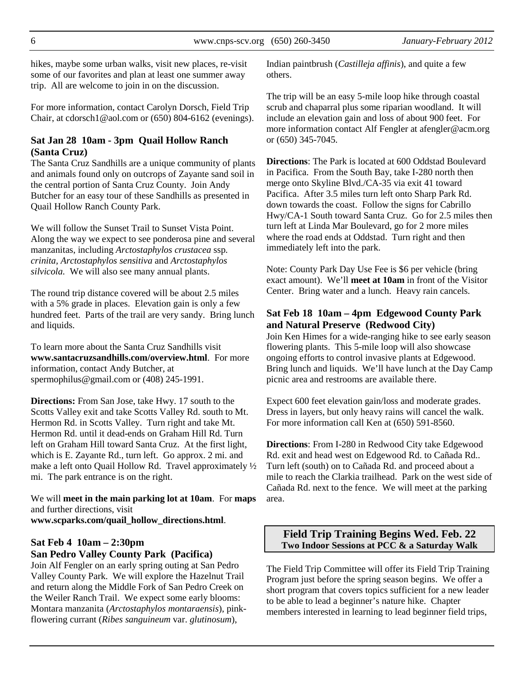hikes, maybe some urban walks, visit new places, re-visit some of our favorites and plan at least one summer away trip. All are welcome to join in on the discussion.

For more information, contact Carolyn Dorsch, Field Trip Chair, at cdorsch1@aol.com or (650) 804-6162 (evenings).

#### **Sat Jan 28 10am - 3pm Quail Hollow Ranch (Santa Cruz)**

The Santa Cruz Sandhills are a unique community of plants and animals found only on outcrops of Zayante sand soil in the central portion of Santa Cruz County. Join Andy Butcher for an easy tour of these Sandhills as presented in Quail Hollow Ranch County Park.

We will follow the Sunset Trail to Sunset Vista Point. Along the way we expect to see ponderosa pine and several manzanitas, including *Arctostaphylos crustacea* ssp*. crinita, Arctostaphylos sensitiva* and *Arctostaphylos silvicola.* We will also see many annual plants.

The round trip distance covered will be about 2.5 miles with a 5% grade in places. Elevation gain is only a few hundred feet. Parts of the trail are very sandy. Bring lunch and liquids.

To learn more about the Santa Cruz Sandhills visit **www.santacruzsandhills.com/overview.html**. For more information, contact Andy Butcher, at spermophilus@gmail.com or (408) 245-1991.

**Directions:** From San Jose, take Hwy. 17 south to the Scotts Valley exit and take Scotts Valley Rd. south to Mt. Hermon Rd. in Scotts Valley. Turn right and take Mt. Hermon Rd. until it dead-ends on Graham Hill Rd. Turn left on Graham Hill toward Santa Cruz. At the first light, which is E. Zayante Rd., turn left. Go approx. 2 mi. and make a left onto Quail Hollow Rd. Travel approximately ½ mi. The park entrance is on the right.

We will **meet in the main parking lot at 10am**. For **maps** and further directions, visit **www.scparks.com/quail\_hollow\_directions.html**.

## **Sat Feb 4 10am – 2:30pm San Pedro Valley County Park (Pacifica)**

Join Alf Fengler on an early spring outing at San Pedro Valley County Park. We will explore the Hazelnut Trail and return along the Middle Fork of San Pedro Creek on the Weiler Ranch Trail. We expect some early blooms: Montara manzanita (*Arctostaphylos montaraensis*), pinkflowering currant (*Ribes sanguineum* var. *glutinosum*),

Indian paintbrush (*Castilleja affinis*), and quite a few others.

The trip will be an easy 5-mile loop hike through coastal scrub and chaparral plus some riparian woodland. It will include an elevation gain and loss of about 900 feet. For more information contact Alf Fengler at afengler@acm.org or (650) 345-7045.

**Directions**: The Park is located at 600 Oddstad Boulevard in Pacifica. From the South Bay, take I-280 north then merge onto Skyline Blvd./CA-35 via exit 41 toward Pacifica. After 3.5 miles turn left onto Sharp Park Rd. down towards the coast. Follow the signs for Cabrillo Hwy/CA-1 South toward Santa Cruz. Go for 2.5 miles then turn left at Linda Mar Boulevard, go for 2 more miles where the road ends at Oddstad. Turn right and then immediately left into the park.

Note: County Park Day Use Fee is \$6 per vehicle (bring exact amount). We'll **meet at 10am** in front of the Visitor Center. Bring water and a lunch. Heavy rain cancels.

#### **Sat Feb 18 10am – 4pm Edgewood County Park and Natural Preserve (Redwood City)**

Join Ken Himes for a wide-ranging hike to see early season flowering plants. This 5-mile loop will also showcase ongoing efforts to control invasive plants at Edgewood. Bring lunch and liquids. We'll have lunch at the Day Camp picnic area and restrooms are available there.

Expect 600 feet elevation gain/loss and moderate grades. Dress in layers, but only heavy rains will cancel the walk. For more information call Ken at (650) 591-8560.

**Directions**: From I-280 in Redwood City take Edgewood Rd. exit and head west on Edgewood Rd. to Cañada Rd.. Turn left (south) on to Cañada Rd. and proceed about a mile to reach the Clarkia trailhead. Park on the west side of Cañada Rd. next to the fence. We will meet at the parking area.

#### **Field Trip Training Begins Wed. Feb. 22 Two Indoor Sessions at PCC & a Saturday Walk**

The Field Trip Committee will offer its Field Trip Training Program just before the spring season begins. We offer a short program that covers topics sufficient for a new leader to be able to lead a beginner's nature hike. Chapter members interested in learning to lead beginner field trips,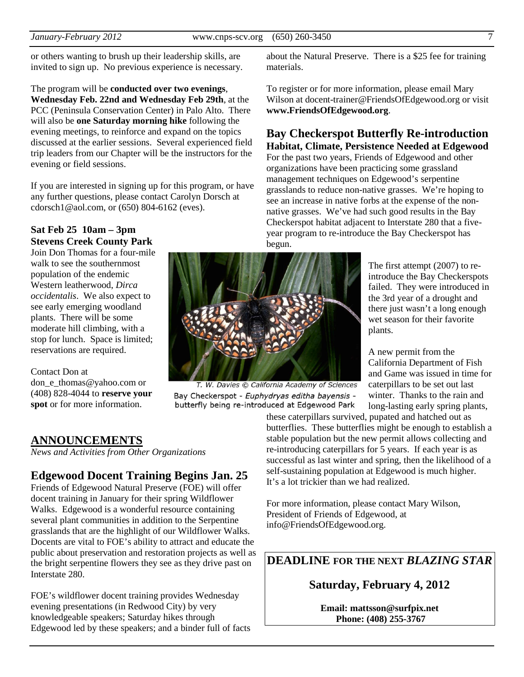or others wanting to brush up their leadership skills, are invited to sign up. No previous experience is necessary.

The program will be **conducted over two evenings**, **Wednesday Feb. 22nd and Wednesday Feb 29th**, at the PCC (Peninsula Conservation Center) in Palo Alto. There will also be **one Saturday morning hike** following the evening meetings, to reinforce and expand on the topics discussed at the earlier sessions. Several experienced field trip leaders from our Chapter will be the instructors for the evening or field sessions.

If you are interested in signing up for this program, or have any further questions, please contact Carolyn Dorsch at cdorsch1@aol.com, or (650) 804-6162 (eves).

## **Sat Feb 25 10am – 3pm Stevens Creek County Park**

Join Don Thomas for a four-mile walk to see the southernmost population of the endemic Western leatherwood, *Dirca occidentalis*. We also expect to see early emerging woodland plants. There will be some moderate hill climbing, with a stop for lunch. Space is limited; reservations are required.

#### Contact Don at

don e thomas@yahoo.com or (408) 828-4044 to **reserve your spot** or for more information.

#### **ANNOUNCEMENTS**

*News and Activities from Other Organizations* 

# **Edgewood Docent Training Begins Jan. 25**

Friends of Edgewood Natural Preserve (FOE) will offer docent training in January for their spring Wildflower Walks. Edgewood is a wonderful resource containing several plant communities in addition to the Serpentine grasslands that are the highlight of our Wildflower Walks. Docents are vital to FOE's ability to attract and educate the public about preservation and restoration projects as well as the bright serpentine flowers they see as they drive past on Interstate 280.

FOE's wildflower docent training provides Wednesday evening presentations (in Redwood City) by very knowledgeable speakers; Saturday hikes through Edgewood led by these speakers; and a binder full of facts

about the Natural Preserve. There is a \$25 fee for training materials.

To register or for more information, please email Mary Wilson at docent-trainer@FriendsOfEdgewood.org or visit **www.FriendsOfEdgewood.org**.

## **Bay Checkerspot Butterfly Re-introduction Habitat, Climate, Persistence Needed at Edgewood**

For the past two years, Friends of Edgewood and other organizations have been practicing some grassland management techniques on Edgewood's serpentine grasslands to reduce non-native grasses. We're hoping to see an increase in native forbs at the expense of the nonnative grasses. We've had such good results in the Bay Checkerspot habitat adjacent to Interstate 280 that a fiveyear program to re-introduce the Bay Checkerspot has begun.

> The first attempt (2007) to reintroduce the Bay Checkerspots failed. They were introduced in the 3rd year of a drought and there just wasn't a long enough wet season for their favorite plants.

A new permit from the California Department of Fish and Game was issued in time for caterpillars to be set out last winter. Thanks to the rain and long-lasting early spring plants,

these caterpillars survived, pupated and hatched out as butterflies. These butterflies might be enough to establish a stable population but the new permit allows collecting and re-introducing caterpillars for 5 years. If each year is as successful as last winter and spring, then the likelihood of a self-sustaining population at Edgewood is much higher. It's a lot trickier than we had realized.

For more information, please contact Mary Wilson, President of Friends of Edgewood, at info@FriendsOfEdgewood.org.

**DEADLINE FOR THE NEXT** *BLAZING STAR* 

## **Saturday, February 4, 2012**

**Email: mattsson@surfpix.net Phone: (408) 255-3767**

# T. W. Davies © California Academy of Sciences

Bay Checkerspot - Euphydryas editha bayensis butterfly being re-introduced at Edgewood Park